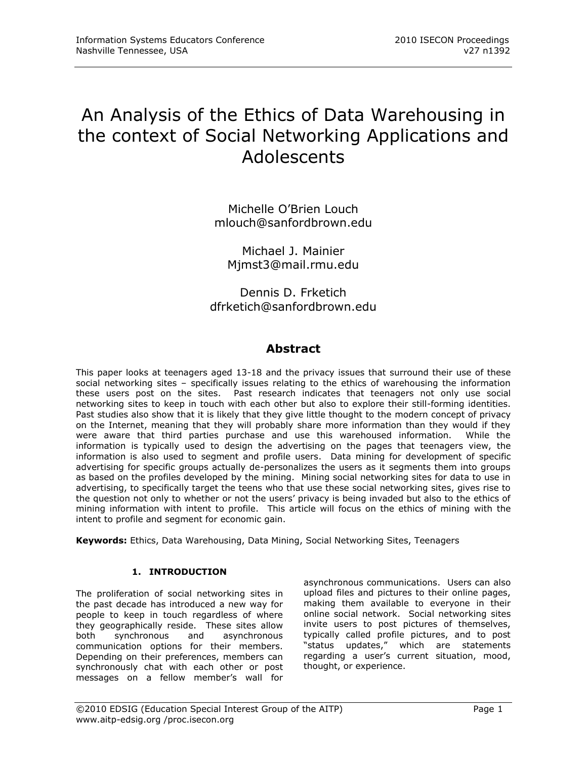# An Analysis of the Ethics of Data Warehousing in the context of Social Networking Applications and Adolescents

Michelle O'Brien Louch [mlouch@sanfordbrown.edu](mailto:mlouch@sanfordbrown.edu)

Michael J. Mainier [Mjmst3@mail.rmu.edu](mailto:Mjmst3@mail.rmu.edu)

Dennis D. Frketich [dfrketich@sanfordbrown.edu](mailto:dfrketich@sanfordbrown.edu)

# **Abstract**

This paper looks at teenagers aged 13-18 and the privacy issues that surround their use of these social networking sites – specifically issues relating to the ethics of warehousing the information these users post on the sites. Past research indicates that teenagers not only use social networking sites to keep in touch with each other but also to explore their still-forming identities. Past studies also show that it is likely that they give little thought to the modern concept of privacy on the Internet, meaning that they will probably share more information than they would if they were aware that third parties purchase and use this warehoused information. While the information is typically used to design the advertising on the pages that teenagers view, the information is also used to segment and profile users. Data mining for development of specific advertising for specific groups actually de-personalizes the users as it segments them into groups as based on the profiles developed by the mining. Mining social networking sites for data to use in advertising, to specifically target the teens who that use these social networking sites, gives rise to the question not only to whether or not the users' privacy is being invaded but also to the ethics of mining information with intent to profile. This article will focus on the ethics of mining with the intent to profile and segment for economic gain.

**Keywords:** Ethics, Data Warehousing, Data Mining, Social Networking Sites, Teenagers

# **1. INTRODUCTION**

The proliferation of social networking sites in the past decade has introduced a new way for people to keep in touch regardless of where they geographically reside. These sites allow<br>both synchronous and asynchronous both synchronous and asynchronous communication options for their members. Depending on their preferences, members can synchronously chat with each other or post messages on a fellow member's wall for

asynchronous communications. Users can also upload files and pictures to their online pages, making them available to everyone in their online social network. Social networking sites invite users to post pictures of themselves, typically called profile pictures, and to post "status updates," which are statements regarding a user's current situation, mood, thought, or experience.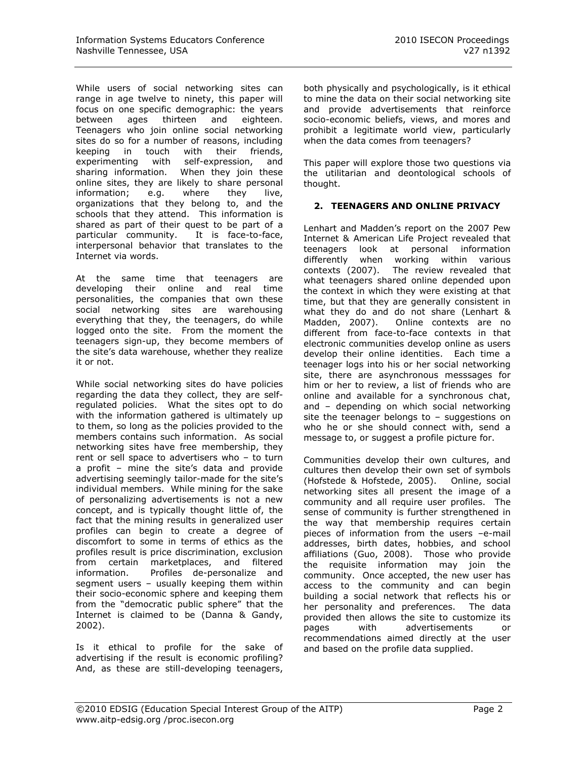While users of social networking sites can range in age twelve to ninety, this paper will focus on one specific demographic: the years between ages thirteen and eighteen. Teenagers who join online social networking sites do so for a number of reasons, including keeping in touch with their friends, experimenting with self-expression, and sharing information. When they join these online sites, they are likely to share personal information; e.g. where they live, organizations that they belong to, and the schools that they attend. This information is shared as part of their quest to be part of a particular community. It is face-to-face, interpersonal behavior that translates to the Internet via words.

At the same time that teenagers are developing their online and real time personalities, the companies that own these social networking sites are warehousing everything that they, the teenagers, do while logged onto the site. From the moment the teenagers sign-up, they become members of the site's data warehouse, whether they realize it or not.

While social networking sites do have policies regarding the data they collect, they are selfregulated policies. What the sites opt to do with the information gathered is ultimately up to them, so long as the policies provided to the members contains such information. As social networking sites have free membership, they rent or sell space to advertisers who – to turn a profit – mine the site's data and provide advertising seemingly tailor-made for the site's individual members. While mining for the sake of personalizing advertisements is not a new concept, and is typically thought little of, the fact that the mining results in generalized user profiles can begin to create a degree of discomfort to some in terms of ethics as the profiles result is price discrimination, exclusion from certain marketplaces, and filtered information. Profiles de-personalize and segment users – usually keeping them within their socio-economic sphere and keeping them from the "democratic public sphere" that the Internet is claimed to be (Danna & Gandy, 2002).

Is it ethical to profile for the sake of advertising if the result is economic profiling? And, as these are still-developing teenagers, both physically and psychologically, is it ethical to mine the data on their social networking site and provide advertisements that reinforce socio-economic beliefs, views, and mores and prohibit a legitimate world view, particularly when the data comes from teenagers?

This paper will explore those two questions via the utilitarian and deontological schools of thought.

# **2. TEENAGERS AND ONLINE PRIVACY**

Lenhart and Madden's report on the 2007 Pew Internet & American Life Project revealed that teenagers look at personal information differently when working within various contexts (2007). The review revealed that what teenagers shared online depended upon the context in which they were existing at that time, but that they are generally consistent in what they do and do not share (Lenhart & Madden, 2007). Online contexts are no different from face-to-face contexts in that electronic communities develop online as users develop their online identities. Each time a teenager logs into his or her social networking site, there are asynchronous messsages for him or her to review, a list of friends who are online and available for a synchronous chat, and – depending on which social networking site the teenager belongs to – suggestions on who he or she should connect with, send a message to, or suggest a profile picture for.

Communities develop their own cultures, and cultures then develop their own set of symbols (Hofstede & Hofstede, 2005). Online, social networking sites all present the image of a community and all require user profiles. The sense of community is further strengthened in the way that membership requires certain pieces of information from the users –e-mail addresses, birth dates, hobbies, and school affiliations (Guo, 2008). Those who provide the requisite information may join the community. Once accepted, the new user has access to the community and can begin building a social network that reflects his or her personality and preferences. The data provided then allows the site to customize its pages with advertisements or recommendations aimed directly at the user and based on the profile data supplied.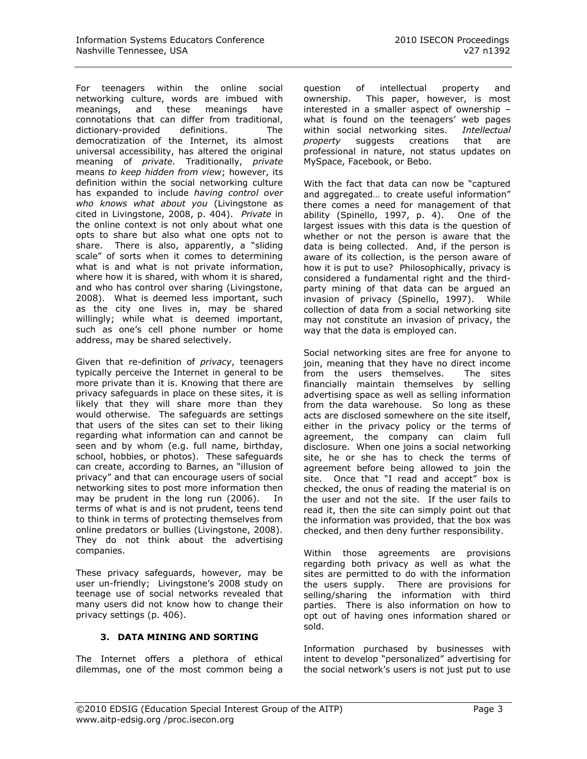For teenagers within the online social networking culture, words are imbued with meanings, and these meanings have connotations that can differ from traditional,<br>dictionary-provided definitions. The dictionary-provided definitions. The democratization of the Internet, its almost universal accessibility, has altered the original meaning of *private.* Traditionally, *private*  means *to keep hidden from view*; however, its definition within the social networking culture has expanded to include *having control over who knows what about you* (Livingstone as cited in Livingstone, 2008, p. 404). *Private* in the online context is not only about what one opts to share but also what one opts not to share. There is also, apparently, a "sliding scale" of sorts when it comes to determining what is and what is not private information, where how it is shared, with whom it is shared, and who has control over sharing (Livingstone, 2008). What is deemed less important, such as the city one lives in, may be shared willingly; while what is deemed important, such as one's cell phone number or home address, may be shared selectively.

Given that re-definition of *privacy*, teenagers typically perceive the Internet in general to be more private than it is. Knowing that there are privacy safeguards in place on these sites, it is likely that they will share more than they would otherwise. The safeguards are settings that users of the sites can set to their liking regarding what information can and cannot be seen and by whom (e.g. full name, birthday, school, hobbies, or photos). These safeguards can create, according to Barnes, an "illusion of privacy" and that can encourage users of social networking sites to post more information then may be prudent in the long run (2006). In terms of what is and is not prudent, teens tend to think in terms of protecting themselves from online predators or bullies (Livingstone, 2008). They do not think about the advertising companies.

These privacy safeguards, however, may be user un-friendly; Livingstone's 2008 study on teenage use of social networks revealed that many users did not know how to change their privacy settings (p. 406).

#### **3. DATA MINING AND SORTING**

The Internet offers a plethora of ethical dilemmas, one of the most common being a question of intellectual property and ownership. This paper, however, is most interested in a smaller aspect of ownership – what is found on the teenagers' web pages within social networking sites. *Intellectual property* suggests creations that are professional in nature, not status updates on MySpace, Facebook, or Bebo.

With the fact that data can now be "captured and aggregated… to create useful information" there comes a need for management of that ability (Spinello, 1997, p. 4). One of the largest issues with this data is the question of whether or not the person is aware that the data is being collected. And, if the person is aware of its collection, is the person aware of how it is put to use? Philosophically, privacy is considered a fundamental right and the thirdparty mining of that data can be argued an invasion of privacy (Spinello, 1997). While collection of data from a social networking site may not constitute an invasion of privacy, the way that the data is employed can.

Social networking sites are free for anyone to join, meaning that they have no direct income from the users themselves. The sites financially maintain themselves by selling advertising space as well as selling information from the data warehouse. So long as these acts are disclosed somewhere on the site itself, either in the privacy policy or the terms of agreement, the company can claim full disclosure. When one joins a social networking site, he or she has to check the terms of agreement before being allowed to join the site. Once that "I read and accept" box is checked, the onus of reading the material is on the user and not the site. If the user fails to read it, then the site can simply point out that the information was provided, that the box was checked, and then deny further responsibility.

Within those agreements are provisions regarding both privacy as well as what the sites are permitted to do with the information the users supply. There are provisions for selling/sharing the information with third parties. There is also information on how to opt out of having ones information shared or sold.

Information purchased by businesses with intent to develop "personalized" advertising for the social network's users is not just put to use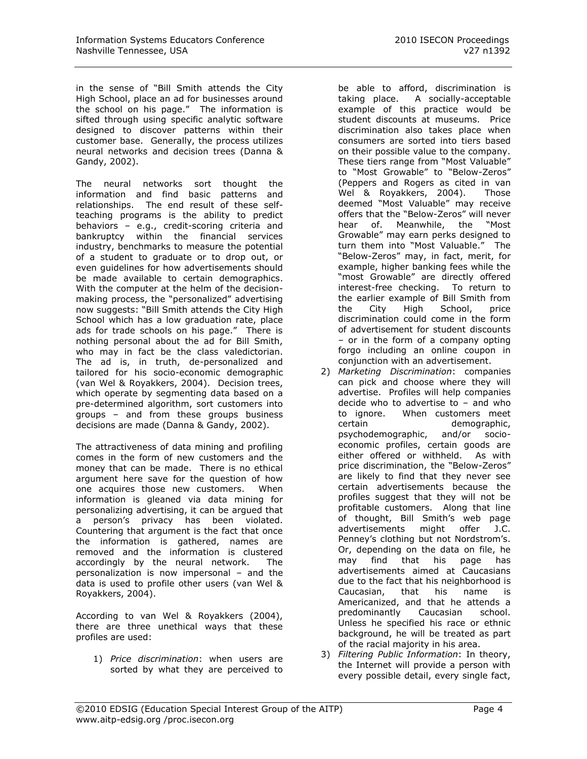in the sense of "Bill Smith attends the City High School, place an ad for businesses around the school on his page." The information is sifted through using specific analytic software designed to discover patterns within their customer base. Generally, the process utilizes neural networks and decision trees (Danna & Gandy, 2002).

The neural networks sort thought the information and find basic patterns and relationships. The end result of these selfteaching programs is the ability to predict behaviors – e.g., credit-scoring criteria and bankruptcy within the financial services industry, benchmarks to measure the potential of a student to graduate or to drop out, or even guidelines for how advertisements should be made available to certain demographics. With the computer at the helm of the decisionmaking process, the "personalized" advertising now suggests: "Bill Smith attends the City High School which has a low graduation rate, place ads for trade schools on his page." There is nothing personal about the ad for Bill Smith, who may in fact be the class valedictorian. The ad is, in truth, de-personalized and tailored for his socio-economic demographic (van Wel & Royakkers, 2004). Decision trees, which operate by segmenting data based on a pre-determined algorithm, sort customers into groups – and from these groups business decisions are made (Danna & Gandy, 2002).

The attractiveness of data mining and profiling comes in the form of new customers and the money that can be made. There is no ethical argument here save for the question of how one acquires those new customers. When information is gleaned via data mining for personalizing advertising, it can be argued that a person's privacy has been violated. Countering that argument is the fact that once the information is gathered, names are removed and the information is clustered accordingly by the neural network. The personalization is now impersonal – and the data is used to profile other users (van Wel & Royakkers, 2004).

According to van Wel & Royakkers (2004), there are three unethical ways that these profiles are used:

1) *Price discrimination*: when users are sorted by what they are perceived to

be able to afford, discrimination is taking place. A socially-acceptable example of this practice would be student discounts at museums. Price discrimination also takes place when consumers are sorted into tiers based on their possible value to the company. These tiers range from "Most Valuable" to "Most Growable" to "Below-Zeros" (Peppers and Rogers as cited in van Wel & Royakkers, 2004). Those deemed "Most Valuable" may receive offers that the "Below-Zeros" will never hear of. Meanwhile, the "Most Growable" may earn perks designed to turn them into "Most Valuable." The "Below-Zeros" may, in fact, merit, for example, higher banking fees while the "most Growable" are directly offered interest-free checking. To return to the earlier example of Bill Smith from the City High School, price discrimination could come in the form of advertisement for student discounts – or in the form of a company opting forgo including an online coupon in conjunction with an advertisement.

- 2) *Marketing Discrimination*: companies can pick and choose where they will advertise. Profiles will help companies decide who to advertise to – and who to ignore. When customers meet certain demographic, psychodemographic, and/or socioeconomic profiles, certain goods are either offered or withheld. As with price discrimination, the "Below-Zeros" are likely to find that they never see certain advertisements because the profiles suggest that they will not be profitable customers. Along that line of thought, Bill Smith's web page advertisements might offer J.C. Penney's clothing but not Nordstrom's. Or, depending on the data on file, he may find that his page has advertisements aimed at Caucasians due to the fact that his neighborhood is Caucasian, that his name is Americanized, and that he attends a predominantly Caucasian school. Unless he specified his race or ethnic background, he will be treated as part of the racial majority in his area.
- 3) *Filtering Public Information*: In theory, the Internet will provide a person with every possible detail, every single fact,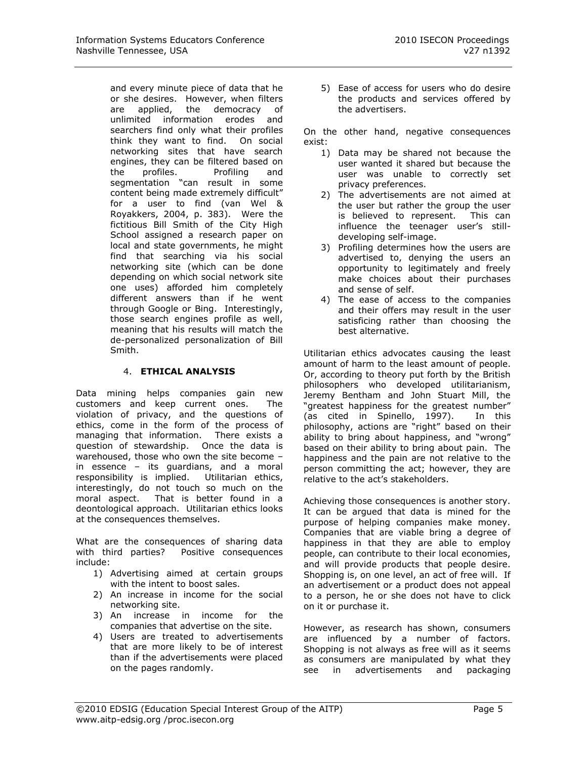and every minute piece of data that he or she desires. However, when filters are applied, the democracy of unlimited information erodes and searchers find only what their profiles think they want to find. On social networking sites that have search engines, they can be filtered based on the profiles. Profiling and segmentation "can result in some content being made extremely difficult" for a user to find (van Wel & Royakkers, 2004, p. 383). Were the fictitious Bill Smith of the City High School assigned a research paper on local and state governments, he might find that searching via his social networking site (which can be done depending on which social network site one uses) afforded him completely different answers than if he went through Google or Bing. Interestingly, those search engines profile as well, meaning that his results will match the de-personalized personalization of Bill Smith.

#### 4. **ETHICAL ANALYSIS**

Data mining helps companies gain new customers and keep current ones. The violation of privacy, and the questions of ethics, come in the form of the process of managing that information. There exists a question of stewardship. Once the data is warehoused, those who own the site become – in essence – its guardians, and a moral responsibility is implied. Utilitarian ethics, interestingly, do not touch so much on the moral aspect. That is better found in a deontological approach. Utilitarian ethics looks at the consequences themselves.

What are the consequences of sharing data with third parties? Positive consequences include:

- 1) Advertising aimed at certain groups with the intent to boost sales.
- 2) An increase in income for the social networking site.
- 3) An increase in income for the companies that advertise on the site.
- 4) Users are treated to advertisements that are more likely to be of interest than if the advertisements were placed on the pages randomly.

5) Ease of access for users who do desire the products and services offered by the advertisers.

On the other hand, negative consequences exist:

- 1) Data may be shared not because the user wanted it shared but because the user was unable to correctly set privacy preferences.
- 2) The advertisements are not aimed at the user but rather the group the user is believed to represent. This can influence the teenager user's stilldeveloping self-image.
- 3) Profiling determines how the users are advertised to, denying the users an opportunity to legitimately and freely make choices about their purchases and sense of self.
- 4) The ease of access to the companies and their offers may result in the user satisficing rather than choosing the best alternative.

Utilitarian ethics advocates causing the least amount of harm to the least amount of people. Or, according to theory put forth by the British philosophers who developed utilitarianism, Jeremy Bentham and John Stuart Mill, the "greatest happiness for the greatest number" (as cited in Spinello, 1997). In this philosophy, actions are "right" based on their ability to bring about happiness, and "wrong" based on their ability to bring about pain. The happiness and the pain are not relative to the person committing the act; however, they are relative to the act's stakeholders.

Achieving those consequences is another story. It can be argued that data is mined for the purpose of helping companies make money. Companies that are viable bring a degree of happiness in that they are able to employ people, can contribute to their local economies, and will provide products that people desire. Shopping is, on one level, an act of free will. If an advertisement or a product does not appeal to a person, he or she does not have to click on it or purchase it.

However, as research has shown, consumers are influenced by a number of factors. Shopping is not always as free will as it seems as consumers are manipulated by what they see in advertisements and packaging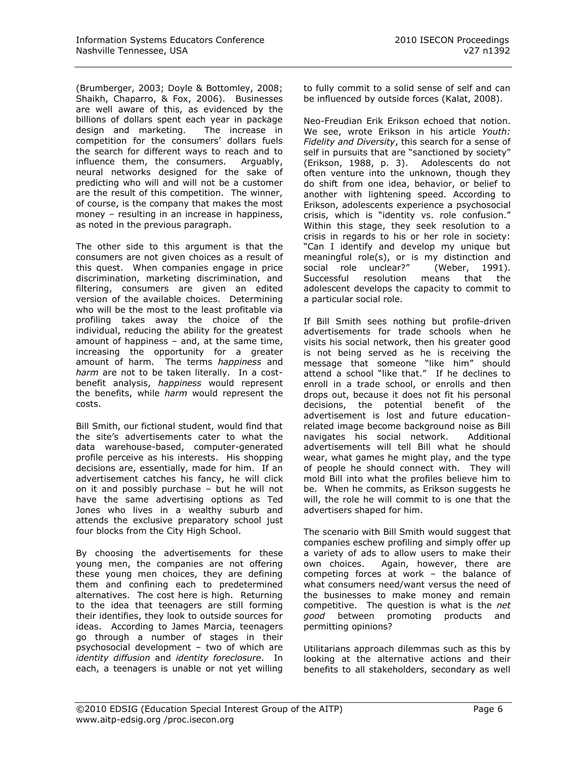(Brumberger, 2003; Doyle & Bottomley, 2008; Shaikh, Chaparro, & Fox, 2006). Businesses are well aware of this, as evidenced by the billions of dollars spent each year in package design and marketing. The increase in competition for the consumers' dollars fuels the search for different ways to reach and to influence them, the consumers. Arguably, neural networks designed for the sake of predicting who will and will not be a customer are the result of this competition. The winner, of course, is the company that makes the most money - resulting in an increase in happiness, as noted in the previous paragraph.

The other side to this argument is that the consumers are not given choices as a result of this quest. When companies engage in price discrimination, marketing discrimination, and filtering, consumers are given an edited version of the available choices. Determining who will be the most to the least profitable via profiling takes away the choice of the individual, reducing the ability for the greatest amount of happiness – and, at the same time, increasing the opportunity for a greater amount of harm. The terms *happiness* and *harm* are not to be taken literally. In a costbenefit analysis, *happiness* would represent the benefits, while *harm* would represent the costs.

Bill Smith, our fictional student, would find that the site's advertisements cater to what the data warehouse-based, computer-generated profile perceive as his interests. His shopping decisions are, essentially, made for him. If an advertisement catches his fancy, he will click on it and possibly purchase – but he will not have the same advertising options as Ted Jones who lives in a wealthy suburb and attends the exclusive preparatory school just four blocks from the City High School.

By choosing the advertisements for these young men, the companies are not offering these young men choices, they are defining them and confining each to predetermined alternatives. The cost here is high. Returning to the idea that teenagers are still forming their identifies, they look to outside sources for ideas. According to James Marcia, teenagers go through a number of stages in their psychosocial development – two of which are *identity diffusion* and *identity foreclosure*. In each, a teenagers is unable or not yet willing to fully commit to a solid sense of self and can be influenced by outside forces (Kalat, 2008).

Neo-Freudian Erik Erikson echoed that notion. We see, wrote Erikson in his article *Youth: Fidelity and Diversity*, this search for a sense of self in pursuits that are "sanctioned by society" (Erikson, 1988, p. 3). Adolescents do not often venture into the unknown, though they do shift from one idea, behavior, or belief to another with lightening speed. According to Erikson, adolescents experience a psychosocial crisis, which is "identity vs. role confusion." Within this stage, they seek resolution to a crisis in regards to his or her role in society: "Can I identify and develop my unique but meaningful role(s), or is my distinction and social role unclear?" (Weber, 1991). Successful resolution means that the adolescent develops the capacity to commit to a particular social role.

If Bill Smith sees nothing but profile-driven advertisements for trade schools when he visits his social network, then his greater good is not being served as he is receiving the message that someone "like him" should attend a school "like that." If he declines to enroll in a trade school, or enrolls and then drops out, because it does not fit his personal decisions, the potential benefit of the advertisement is lost and future educationrelated image become background noise as Bill navigates his social network. Additional advertisements will tell Bill what he should wear, what games he might play, and the type of people he should connect with. They will mold Bill into what the profiles believe him to be. When he commits, as Erikson suggests he will, the role he will commit to is one that the advertisers shaped for him.

The scenario with Bill Smith would suggest that companies eschew profiling and simply offer up a variety of ads to allow users to make their own choices. Again, however, there are competing forces at work – the balance of what consumers need/want versus the need of the businesses to make money and remain competitive. The question is what is the *net good* between promoting products and permitting opinions?

Utilitarians approach dilemmas such as this by looking at the alternative actions and their benefits to all stakeholders, secondary as well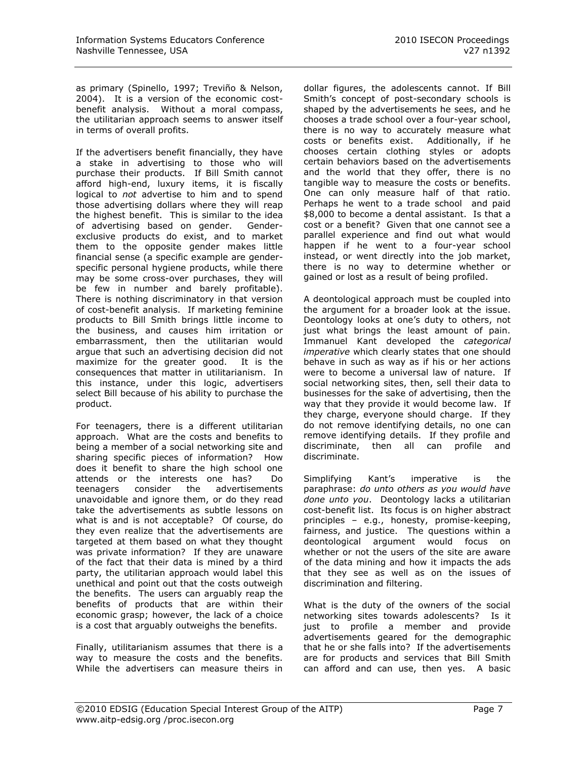as primary (Spinello, 1997; Treviño & Nelson, 2004). It is a version of the economic costbenefit analysis. Without a moral compass, the utilitarian approach seems to answer itself in terms of overall profits.

If the advertisers benefit financially, they have a stake in advertising to those who will purchase their products. If Bill Smith cannot afford high-end, luxury items, it is fiscally logical to *not* advertise to him and to spend those advertising dollars where they will reap the highest benefit. This is similar to the idea of advertising based on gender. Genderexclusive products do exist, and to market them to the opposite gender makes little financial sense (a specific example are genderspecific personal hygiene products, while there may be some cross-over purchases, they will be few in number and barely profitable). There is nothing discriminatory in that version of cost-benefit analysis. If marketing feminine products to Bill Smith brings little income to the business, and causes him irritation or embarrassment, then the utilitarian would argue that such an advertising decision did not maximize for the greater good. It is the consequences that matter in utilitarianism. In this instance, under this logic, advertisers select Bill because of his ability to purchase the product.

For teenagers, there is a different utilitarian approach. What are the costs and benefits to being a member of a social networking site and sharing specific pieces of information? How does it benefit to share the high school one attends or the interests one has? Do teenagers consider the advertisements unavoidable and ignore them, or do they read take the advertisements as subtle lessons on what is and is not acceptable? Of course, do they even realize that the advertisements are targeted at them based on what they thought was private information? If they are unaware of the fact that their data is mined by a third party, the utilitarian approach would label this unethical and point out that the costs outweigh the benefits. The users can arguably reap the benefits of products that are within their economic grasp; however, the lack of a choice is a cost that arguably outweighs the benefits.

Finally, utilitarianism assumes that there is a way to measure the costs and the benefits. While the advertisers can measure theirs in dollar figures, the adolescents cannot. If Bill Smith's concept of post-secondary schools is shaped by the advertisements he sees, and he chooses a trade school over a four-year school, there is no way to accurately measure what costs or benefits exist. Additionally, if he chooses certain clothing styles or adopts certain behaviors based on the advertisements and the world that they offer, there is no tangible way to measure the costs or benefits. One can only measure half of that ratio. Perhaps he went to a trade school and paid \$8,000 to become a dental assistant. Is that a cost or a benefit? Given that one cannot see a parallel experience and find out what would happen if he went to a four-year school instead, or went directly into the job market, there is no way to determine whether or gained or lost as a result of being profiled.

A deontological approach must be coupled into the argument for a broader look at the issue. Deontology looks at one's duty to others, not just what brings the least amount of pain. Immanuel Kant developed the *categorical imperative* which clearly states that one should behave in such as way as if his or her actions were to become a universal law of nature. If social networking sites, then, sell their data to businesses for the sake of advertising, then the way that they provide it would become law. If they charge, everyone should charge. If they do not remove identifying details, no one can remove identifying details. If they profile and discriminate, then all can profile and discriminate.

Simplifying Kant's imperative is the paraphrase: *do unto others as you would have done unto you*. Deontology lacks a utilitarian cost-benefit list. Its focus is on higher abstract principles – e.g., honesty, promise-keeping, fairness, and justice. The questions within a deontological argument would focus on whether or not the users of the site are aware of the data mining and how it impacts the ads that they see as well as on the issues of discrimination and filtering.

What is the duty of the owners of the social networking sites towards adolescents? Is it just to profile a member and provide advertisements geared for the demographic that he or she falls into? If the advertisements are for products and services that Bill Smith can afford and can use, then yes. A basic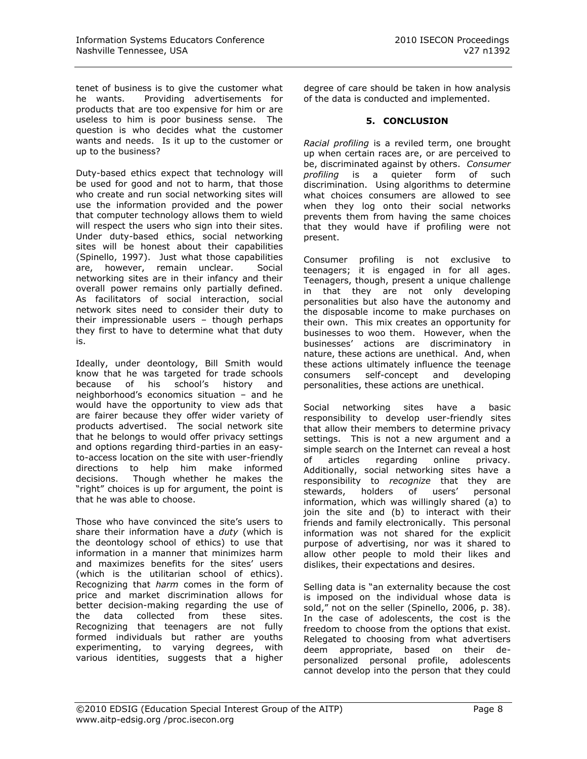tenet of business is to give the customer what he wants. Providing advertisements for products that are too expensive for him or are useless to him is poor business sense. The question is who decides what the customer wants and needs. Is it up to the customer or up to the business?

Duty-based ethics expect that technology will be used for good and not to harm, that those who create and run social networking sites will use the information provided and the power that computer technology allows them to wield will respect the users who sign into their sites. Under duty-based ethics, social networking sites will be honest about their capabilities (Spinello, 1997). Just what those capabilities are, however, remain unclear. Social networking sites are in their infancy and their overall power remains only partially defined. As facilitators of social interaction, social network sites need to consider their duty to their impressionable users – though perhaps they first to have to determine what that duty is.

Ideally, under deontology, Bill Smith would know that he was targeted for trade schools because of his school's history and neighborhood's economics situation – and he would have the opportunity to view ads that are fairer because they offer wider variety of products advertised. The social network site that he belongs to would offer privacy settings and options regarding third-parties in an easyto-access location on the site with user-friendly directions to help him make informed decisions. Though whether he makes the "right" choices is up for argument, the point is that he was able to choose.

Those who have convinced the site's users to share their information have a *duty* (which is the deontology school of ethics) to use that information in a manner that minimizes harm and maximizes benefits for the sites' users (which is the utilitarian school of ethics). Recognizing that *harm* comes in the form of price and market discrimination allows for better decision-making regarding the use of the data collected from these sites. Recognizing that teenagers are not fully formed individuals but rather are youths experimenting, to varying degrees, with various identities, suggests that a higher degree of care should be taken in how analysis of the data is conducted and implemented.

### **5. CONCLUSION**

*Racial profiling* is a reviled term, one brought up when certain races are, or are perceived to be, discriminated against by others. *Consumer profiling* is a quieter form of such discrimination. Using algorithms to determine what choices consumers are allowed to see when they log onto their social networks prevents them from having the same choices that they would have if profiling were not present.

Consumer profiling is not exclusive to teenagers; it is engaged in for all ages. Teenagers, though, present a unique challenge in that they are not only developing personalities but also have the autonomy and the disposable income to make purchases on their own. This mix creates an opportunity for businesses to woo them. However, when the businesses' actions are discriminatory in nature, these actions are unethical. And, when these actions ultimately influence the teenage consumers self-concept and developing personalities, these actions are unethical.

Social networking sites have a basic responsibility to develop user-friendly sites that allow their members to determine privacy settings. This is not a new argument and a simple search on the Internet can reveal a host of articles regarding online privacy. Additionally, social networking sites have a responsibility to *recognize* that they are stewards, holders of users' personal information, which was willingly shared (a) to join the site and (b) to interact with their friends and family electronically. This personal information was not shared for the explicit purpose of advertising, nor was it shared to allow other people to mold their likes and dislikes, their expectations and desires.

Selling data is "an externality because the cost is imposed on the individual whose data is sold," not on the seller (Spinello, 2006, p. 38). In the case of adolescents, the cost is the freedom to choose from the options that exist. Relegated to choosing from what advertisers deem appropriate, based on their depersonalized personal profile, adolescents cannot develop into the person that they could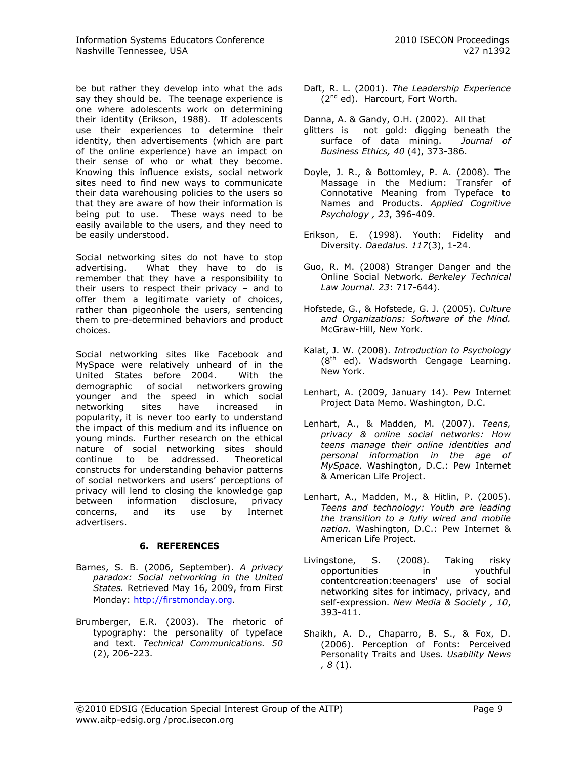be but rather they develop into what the ads say they should be. The teenage experience is one where adolescents work on determining their identity (Erikson, 1988). If adolescents use their experiences to determine their identity, then advertisements (which are part of the online experience) have an impact on their sense of who or what they become. Knowing this influence exists, social network sites need to find new ways to communicate their data warehousing policies to the users so that they are aware of how their information is being put to use. These ways need to be easily available to the users, and they need to be easily understood.

Social networking sites do not have to stop advertising. What they have to do is remember that they have a responsibility to their users to respect their privacy – and to offer them a legitimate variety of choices, rather than pigeonhole the users, sentencing them to pre-determined behaviors and product choices.

Social networking sites like Facebook and MySpace were relatively unheard of in the United States before 2004. With the demographic of social networkers growing younger and the speed in which social networking sites have increased in popularity, it is never too early to understand the impact of this medium and its influence on young minds. Further research on the ethical nature of social networking sites should continue to be addressed. Theoretical constructs for understanding behavior patterns of social networkers and users' perceptions of privacy will lend to closing the knowledge gap between information disclosure, privacy concerns, and its use by Internet advertisers.

# **6. REFERENCES**

- Barnes, S. B. (2006, September). *A privacy paradox: Social networking in the United States.* Retrieved May 16, 2009, from First Monday: [http://firstmonday.org](http://firstmonday.org/).
- Brumberger, E.R. (2003). The rhetoric of typography: the personality of typeface and text. *Technical Communications. 50*  (2), 206-223.
- Daft, R. L. (2001). *The Leadership Experience*   $(2^{nd}$  ed). Harcourt, Fort Worth.
- Danna, A. & Gandy, O.H. (2002). All that glitters is not gold: digging beneath the surface of data mining. *Journal of Business Ethics, 40* (4), 373-386.
- Doyle, J. R., & Bottomley, P. A. (2008). The Massage in the Medium: Transfer of Connotative Meaning from Typeface to Names and Products. *Applied Cognitive Psychology , 23*, 396-409.
- Erikson, E. (1998). Youth: Fidelity and Diversity. *Daedalus. 117*(3), 1-24.
- Guo, R. M. (2008) Stranger Danger and the Online Social Network. *Berkeley Technical Law Journal. 23*: 717-644).
- Hofstede, G., & Hofstede, G. J. (2005). *Culture and Organizations: Software of the Mind.* McGraw-Hill, New York.
- Kalat, J. W. (2008). *Introduction to Psychology*  (8<sup>th</sup> ed). Wadsworth Cengage Learning. New York.
- Lenhart, A. (2009, January 14). Pew Internet Project Data Memo. Washington, D.C.
- Lenhart, A., & Madden, M. (2007). *Teens, privacy & online social networks: How teens manage their online identities and personal information in the age of MySpace.* Washington, D.C.: Pew Internet & American Life Project.
- Lenhart, A., Madden, M., & Hitlin, P. (2005). *Teens and technology: Youth are leading the transition to a fully wired and mobile nation.* Washington, D.C.: Pew Internet & American Life Project.
- Livingstone, S. (2008). Taking risky opportunities in youthful contentcreation:teenagers' use of social networking sites for intimacy, privacy, and self-expression. *New Media & Society , 10*, 393-411.
- Shaikh, A. D., Chaparro, B. S., & Fox, D. (2006). Perception of Fonts: Perceived Personality Traits and Uses. *Usability News , 8* (1).